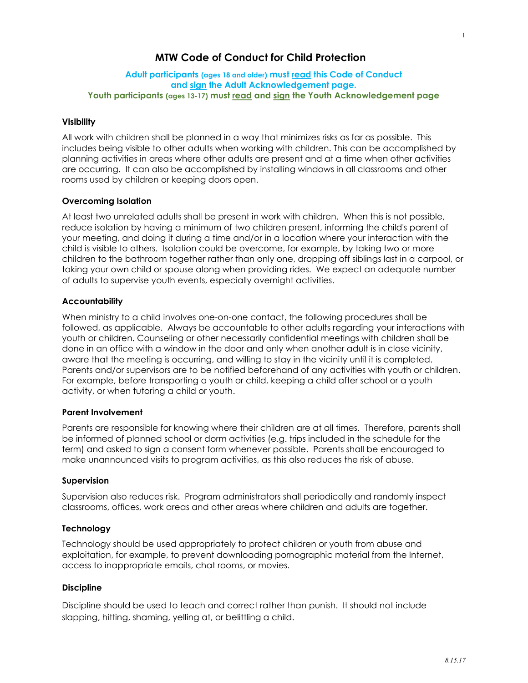# MTW Code of Conduct for Child Protection

## Adult participants (ages 18 and older) must read this Code of Conduct and sign the Adult Acknowledgement page. Youth participants (ages 13-17) must read and sign the Youth Acknowledgement page

## Visibility

All work with children shall be planned in a way that minimizes risks as far as possible. This includes being visible to other adults when working with children. This can be accomplished by planning activities in areas where other adults are present and at a time when other activities are occurring. It can also be accomplished by installing windows in all classrooms and other rooms used by children or keeping doors open.

## Overcoming Isolation

At least two unrelated adults shall be present in work with children. When this is not possible, reduce isolation by having a minimum of two children present, informing the child's parent of your meeting, and doing it during a time and/or in a location where your interaction with the child is visible to others. Isolation could be overcome, for example, by taking two or more children to the bathroom together rather than only one, dropping off siblings last in a carpool, or taking your own child or spouse along when providing rides. We expect an adequate number of adults to supervise youth events, especially overnight activities.

## **Accountability**

When ministry to a child involves one-on-one contact, the following procedures shall be followed, as applicable. Always be accountable to other adults regarding your interactions with youth or children. Counseling or other necessarily confidential meetings with children shall be done in an office with a window in the door and only when another adult is in close vicinity, aware that the meeting is occurring, and willing to stay in the vicinity until it is completed. Parents and/or supervisors are to be notified beforehand of any activities with youth or children. For example, before transporting a youth or child, keeping a child after school or a youth activity, or when tutoring a child or youth.

#### Parent Involvement

Parents are responsible for knowing where their children are at all times. Therefore, parents shall be informed of planned school or dorm activities (e.g. trips included in the schedule for the term) and asked to sign a consent form whenever possible. Parents shall be encouraged to make unannounced visits to program activities, as this also reduces the risk of abuse.

#### Supervision

Supervision also reduces risk. Program administrators shall periodically and randomly inspect classrooms, offices, work areas and other areas where children and adults are together.

#### **Technology**

Technology should be used appropriately to protect children or youth from abuse and exploitation, for example, to prevent downloading pornographic material from the Internet, access to inappropriate emails, chat rooms, or movies.

#### Discipline

Discipline should be used to teach and correct rather than punish. It should not include slapping, hitting, shaming, yelling at, or belittling a child.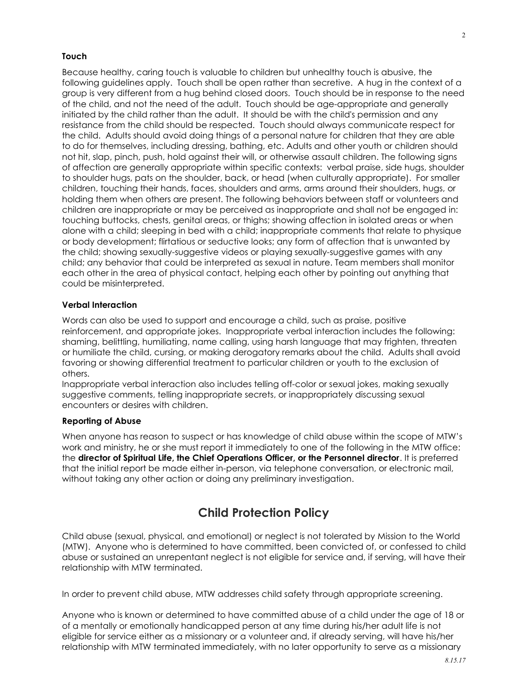#### Touch

Because healthy, caring touch is valuable to children but unhealthy touch is abusive, the following guidelines apply. Touch shall be open rather than secretive. A hug in the context of a group is very different from a hug behind closed doors. Touch should be in response to the need of the child, and not the need of the adult. Touch should be age-appropriate and generally initiated by the child rather than the adult. It should be with the child's permission and any resistance from the child should be respected. Touch should always communicate respect for the child. Adults should avoid doing things of a personal nature for children that they are able to do for themselves, including dressing, bathing, etc. Adults and other youth or children should not hit, slap, pinch, push, hold against their will, or otherwise assault children. The following signs of affection are generally appropriate within specific contexts: verbal praise, side hugs, shoulder to shoulder hugs, pats on the shoulder, back, or head (when culturally appropriate). For smaller children, touching their hands, faces, shoulders and arms, arms around their shoulders, hugs, or holding them when others are present. The following behaviors between staff or volunteers and children are inappropriate or may be perceived as inappropriate and shall not be engaged in: touching buttocks, chests, genital areas, or thighs; showing affection in isolated areas or when alone with a child; sleeping in bed with a child; inappropriate comments that relate to physique or body development; flirtatious or seductive looks; any form of affection that is unwanted by the child; showing sexually-suggestive videos or playing sexually-suggestive games with any child; any behavior that could be interpreted as sexual in nature. Team members shall monitor each other in the area of physical contact, helping each other by pointing out anything that could be misinterpreted.

# Verbal Interaction

Words can also be used to support and encourage a child, such as praise, positive reinforcement, and appropriate jokes. Inappropriate verbal interaction includes the following: shaming, belittling, humiliating, name calling, using harsh language that may frighten, threaten or humiliate the child, cursing, or making derogatory remarks about the child. Adults shall avoid favoring or showing differential treatment to particular children or youth to the exclusion of others.

Inappropriate verbal interaction also includes telling off-color or sexual jokes, making sexually suggestive comments, telling inappropriate secrets, or inappropriately discussing sexual encounters or desires with children.

#### Reporting of Abuse

When anyone has reason to suspect or has knowledge of child abuse within the scope of MTW's work and ministry, he or she must report it immediately to one of the following in the MTW office: the director of Spiritual Life, the Chief Operations Officer, or the Personnel director. It is preferred that the initial report be made either in-person, via telephone conversation, or electronic mail, without taking any other action or doing any preliminary investigation.

# Child Protection Policy

Child abuse (sexual, physical, and emotional) or neglect is not tolerated by Mission to the World (MTW). Anyone who is determined to have committed, been convicted of, or confessed to child abuse or sustained an unrepentant neglect is not eligible for service and, if serving, will have their relationship with MTW terminated.

In order to prevent child abuse, MTW addresses child safety through appropriate screening.

Anyone who is known or determined to have committed abuse of a child under the age of 18 or of a mentally or emotionally handicapped person at any time during his/her adult life is not eligible for service either as a missionary or a volunteer and, if already serving, will have his/her relationship with MTW terminated immediately, with no later opportunity to serve as a missionary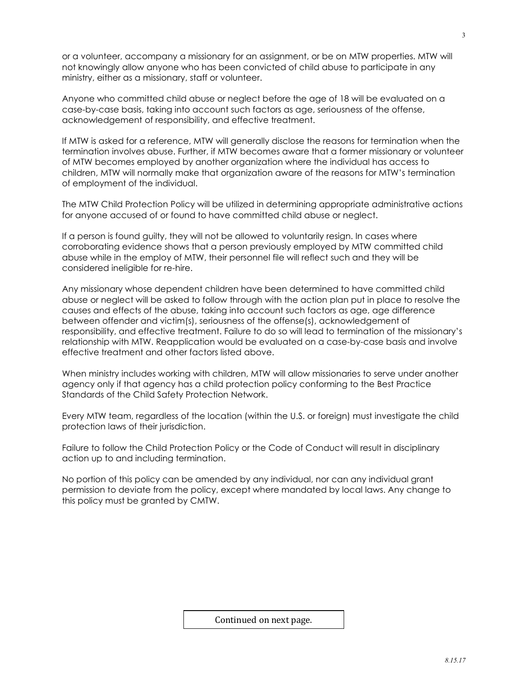or a volunteer, accompany a missionary for an assignment, or be on MTW properties. MTW will not knowingly allow anyone who has been convicted of child abuse to participate in any ministry, either as a missionary, staff or volunteer.

Anyone who committed child abuse or neglect before the age of 18 will be evaluated on a case-by-case basis, taking into account such factors as age, seriousness of the offense, acknowledgement of responsibility, and effective treatment.

If MTW is asked for a reference, MTW will generally disclose the reasons for termination when the termination involves abuse. Further, if MTW becomes aware that a former missionary or volunteer of MTW becomes employed by another organization where the individual has access to children, MTW will normally make that organization aware of the reasons for MTW's termination of employment of the individual.

The MTW Child Protection Policy will be utilized in determining appropriate administrative actions for anyone accused of or found to have committed child abuse or neglect.

If a person is found guilty, they will not be allowed to voluntarily resign. In cases where corroborating evidence shows that a person previously employed by MTW committed child abuse while in the employ of MTW, their personnel file will reflect such and they will be considered ineligible for re-hire.

Any missionary whose dependent children have been determined to have committed child abuse or neglect will be asked to follow through with the action plan put in place to resolve the causes and effects of the abuse, taking into account such factors as age, age difference between offender and victim(s), seriousness of the offense(s), acknowledgement of responsibility, and effective treatment. Failure to do so will lead to termination of the missionary's relationship with MTW. Reapplication would be evaluated on a case-by-case basis and involve effective treatment and other factors listed above.

When ministry includes working with children, MTW will allow missionaries to serve under another agency only if that agency has a child protection policy conforming to the Best Practice Standards of the Child Safety Protection Network.

Every MTW team, regardless of the location (within the U.S. or foreign) must investigate the child protection laws of their jurisdiction.

Failure to follow the Child Protection Policy or the Code of Conduct will result in disciplinary action up to and including termination.

No portion of this policy can be amended by any individual, nor can any individual grant permission to deviate from the policy, except where mandated by local laws. Any change to this policy must be granted by CMTW.

Continued on next page.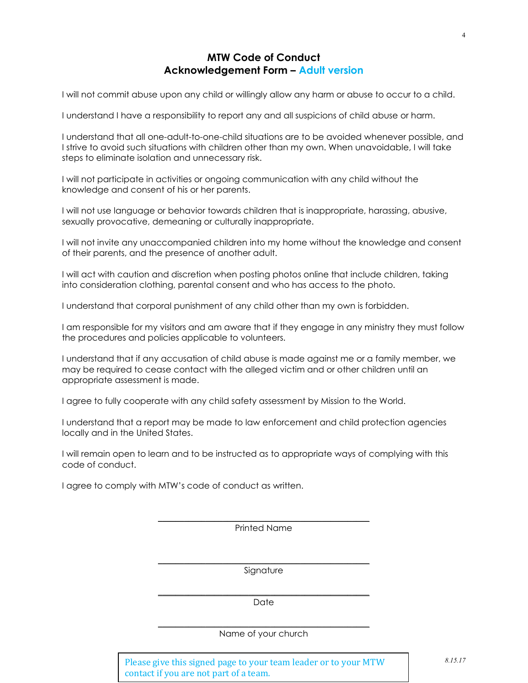# MTW Code of Conduct Acknowledgement Form – Adult version

I will not commit abuse upon any child or willingly allow any harm or abuse to occur to a child.

I understand I have a responsibility to report any and all suspicions of child abuse or harm.

I understand that all one-adult-to-one-child situations are to be avoided whenever possible, and I strive to avoid such situations with children other than my own. When unavoidable, I will take steps to eliminate isolation and unnecessary risk.

I will not participate in activities or ongoing communication with any child without the knowledge and consent of his or her parents.

I will not use language or behavior towards children that is inappropriate, harassing, abusive, sexually provocative, demeaning or culturally inappropriate.

I will not invite any unaccompanied children into my home without the knowledge and consent of their parents, and the presence of another adult.

I will act with caution and discretion when posting photos online that include children, taking into consideration clothing, parental consent and who has access to the photo.

I understand that corporal punishment of any child other than my own is forbidden.

I am responsible for my visitors and am aware that if they engage in any ministry they must follow the procedures and policies applicable to volunteers.

I understand that if any accusation of child abuse is made against me or a family member, we may be required to cease contact with the alleged victim and or other children until an appropriate assessment is made.

I agree to fully cooperate with any child safety assessment by Mission to the World.

I understand that a report may be made to law enforcement and child protection agencies locally and in the United States.

I will remain open to learn and to be instructed as to appropriate ways of complying with this code of conduct.

I agree to comply with MTW's code of conduct as written.

 $\mathcal{L}_\text{max}$  and  $\mathcal{L}_\text{max}$  and  $\mathcal{L}_\text{max}$  and  $\mathcal{L}_\text{max}$ Printed Name

\_\_\_\_\_\_\_\_\_\_\_\_\_\_\_\_\_\_\_\_\_\_\_\_\_\_\_\_\_\_\_\_\_\_\_\_\_\_\_\_\_\_\_\_\_\_\_\_\_ Signature

 $\overline{\phantom{a}}$  , and the set of the set of the set of the set of the set of the set of the set of the set of the set of the set of the set of the set of the set of the set of the set of the set of the set of the set of the s Date

 $\overline{\phantom{a}}$  , and the set of the set of the set of the set of the set of the set of the set of the set of the set of the set of the set of the set of the set of the set of the set of the set of the set of the set of the s Name of your church

Please give this signed page to your team leader or to your MTW contact if you are not part of a team.

4